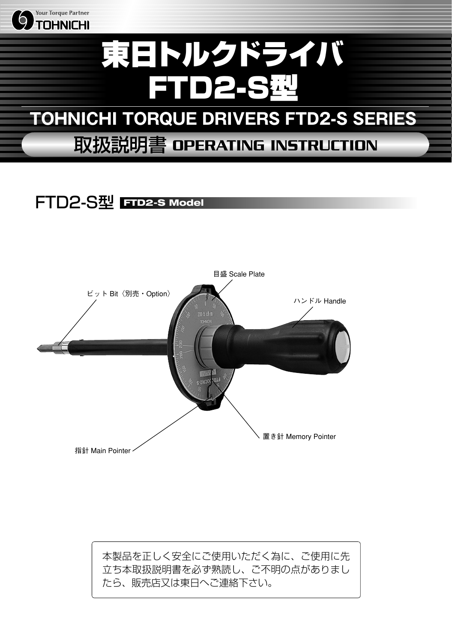

## FTD2-S型 **FTD2-S Model**



本製品を正しく安全にご使用いただく為に、ご使用に先 立ち本取扱説明書を必ず熟読し、ご不明の点がありまし たら、販売店又は東日へご連絡下さい。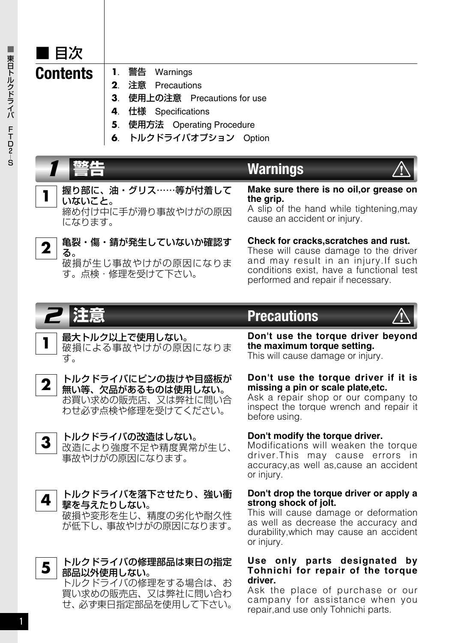

■

1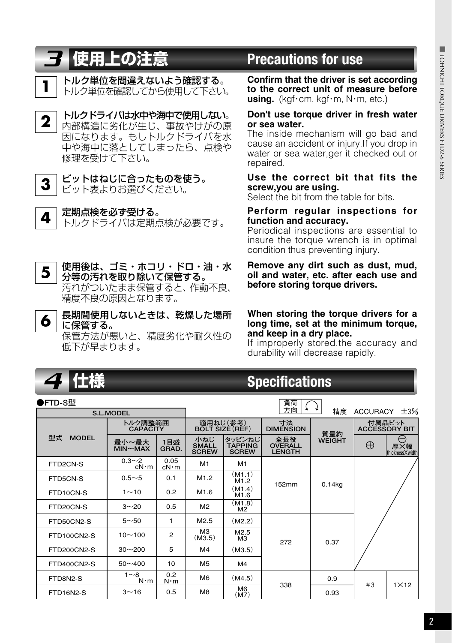- トルク単位を間違えないよう確認する。 **1** トルク単位を確認してから使用して下さい。
- トルクドライバは水中や海中で使用しない。 内部構造に劣化が生じ、事故やけがの原 因になります。もしトルクドライバを水 中や海中に落としてしまったら、点検や 修理を受けて下さい。



**ビットはねじに合ったものを使う。**<br>ビット表よりお選びください。

**定期点検を必ず受ける。**<br>トルクドライバは定期点検が必要です。

#### 使用後は、ゴミ・ホコリ・ドロ・油・水 分等の汚れを取り除いて保管する。 汚れがついたまま保管すると、作動不良、 精度不良の原因となります。 **う** 使用後は、ゴミ・ホコリ・ドロ・油・水 Remove any dirt such as dust, mud,<br>5 )分等の汚れを取り除いて保管する。 oil and water, etc. after each use and

長期間使用しないときは、乾燥した場所 に保管する。 保管方法が悪いと、精度劣化や耐久性の 低下が早まります。 **6 When storing the torque drivers for a long time, set at the minimum torque,**

## *3* **使用上の注意 Precautions for use**

**Confirm that the driver is set according to the correct unit of measure before** using. (kgf·cm, kgf·m, N·m, etc.)

#### **2 Don't use torque driver in fresh water or sea water.**

The inside mechanism will go bad and cause an accident or injury.If you drop in water or sea water,ger it checked out or repaired.

#### **Use the correct bit that fits the screw,you are using.**

Select the bit from the table for bits.

#### **Perform regular inspections for function and accuracy.**

Periodical inspections are essential to insure the torque wrench is in optimal condition thus preventing injury.

# **before storing torque drivers.**

# **and keep in a dry place.**

If improperly stored,the accuracy and durability will decrease rapidly.

| 4 仕様                                     | <b>Specifications</b>               |                      |                                     |                                          |                                                            |                      |                                                                   |             |
|------------------------------------------|-------------------------------------|----------------------|-------------------------------------|------------------------------------------|------------------------------------------------------------|----------------------|-------------------------------------------------------------------|-------------|
| ●FTD-S型<br>負荷<br>¥<br>精度<br>ACCURACY ±3% |                                     |                      |                                     |                                          |                                                            |                      |                                                                   |             |
|                                          | <b>S.L.MODEL</b><br>トルク調整範囲         |                      | 適用ねじ(参考)<br><b>BOLT SIZE (REF)</b>  |                                          | 寸法                                                         |                      | 付属品ビット                                                            |             |
| 型式<br><b>MODEL</b>                       | <b>CAPACITY</b><br>最小~最大<br>MIN~MAX | 1目盛<br>GRAD.         | 小ねじ<br><b>SMALL</b><br><b>SCREW</b> | タッピンねじ<br><b>TAPPING</b><br><b>SCREW</b> | <b>DIMENSION</b><br>全長役<br><b>OVERALL</b><br><b>LENGTH</b> | 質量約<br><b>WEIGHT</b> | <b>ACCESSORY BIT</b><br>A<br>$\oplus$<br>厚又幅<br>thickness X width |             |
| FTD2CN-S                                 | $0.3 - 2$<br>$cN \cdot m$           | 0.05<br>$cN \cdot m$ | M1                                  | M1                                       |                                                            |                      |                                                                   |             |
| FTD5CN-S                                 | $0.5 - 5$                           | 0.1                  | M1.2                                | (M1.1)<br>M1.2                           | 152mm                                                      | $0.14$ kg            |                                                                   |             |
| FTD10CN-S                                | $1 - 10$                            | 0.2                  | M1.6                                | (M1.4)<br>M1.6                           |                                                            |                      |                                                                   |             |
| FTD20CN-S                                | $3 - 20$                            | 0.5                  | M <sup>2</sup>                      | (M1.8)<br>M <sup>2</sup>                 |                                                            |                      |                                                                   |             |
| FTD50CN2-S                               | $5 - 50$                            | 1                    | M2.5                                | (M2.2)                                   |                                                            | 0.37                 |                                                                   |             |
| FTD100CN2-S                              | $10 - 100$                          | $\overline{c}$       | M <sub>3</sub><br>(M3.5)            | M2.5<br>M3                               | 272                                                        |                      |                                                                   |             |
| FTD200CN2-S                              | $30 - 200$                          | 5                    | M <sub>4</sub>                      | (M3.5)                                   |                                                            |                      |                                                                   |             |
| FTD400CN2-S                              | $50 - 400$                          | 10                   | M <sub>5</sub>                      | M4                                       |                                                            |                      |                                                                   |             |
| FTD8N2-S                                 | $1 - 8$<br>$N \cdot m$              | 0.2<br>$N \cdot m$   | M <sub>6</sub>                      | (M4.5)                                   | 338                                                        | 0.9                  | #3                                                                | $1\times12$ |
| FTD16N2-S                                | $3 - 16$                            | 0.5                  | M <sub>8</sub>                      | M <sub>6</sub><br>(M7)                   |                                                            | 0.93                 |                                                                   |             |